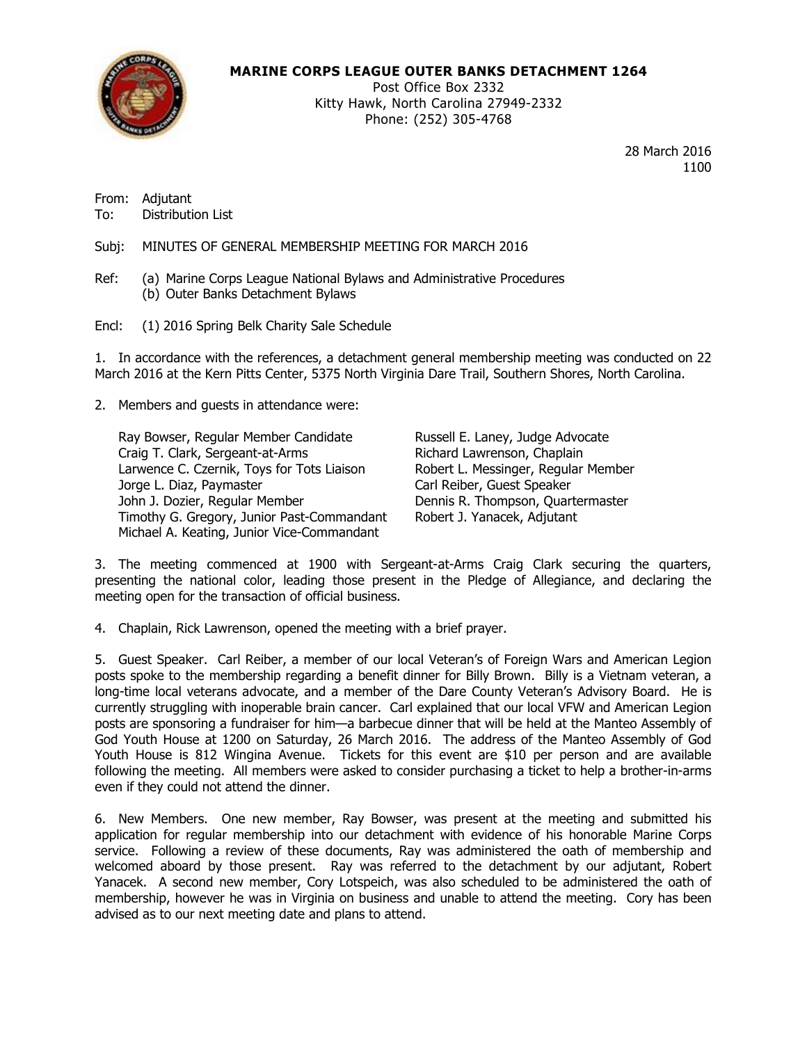

# **MARINE CORPS LEAGUE OUTER BANKS DETACHMENT 1264**

Post Office Box 2332 Kitty Hawk, North Carolina 27949-2332 Phone: (252) 305-4768

> 28 March 2016 1100

From: Adjutant To: Distribution List

Subj: MINUTES OF GENERAL MEMBERSHIP MEETING FOR MARCH 2016

- Ref: (a) Marine Corps League National Bylaws and Administrative Procedures (b) Outer Banks Detachment Bylaws
- Encl: (1) 2016 Spring Belk Charity Sale Schedule

1. In accordance with the references, a detachment general membership meeting was conducted on 22 March 2016 at the Kern Pitts Center, 5375 North Virginia Dare Trail, Southern Shores, North Carolina.

2. Members and guests in attendance were:

Ray Bowser, Regular Member Candidate Russell E. Laney, Judge Advocate Craig T. Clark, Sergeant-at-Arms **Richard Lawrenson, Chaplain** Larwence C. Czernik, Toys for Tots Liaison Robert L. Messinger, Regular Member Jorge L. Diaz, Paymaster Carl Reiber, Guest Speaker John J. Dozier, Regular Member **Dennis R. Thompson, Quartermaster** Timothy G. Gregory, Junior Past-Commandant Robert J. Yanacek, Adjutant Michael A. Keating, Junior Vice-Commandant

3. The meeting commenced at 1900 with Sergeant-at-Arms Craig Clark securing the quarters, presenting the national color, leading those present in the Pledge of Allegiance, and declaring the meeting open for the transaction of official business.

4. Chaplain, Rick Lawrenson, opened the meeting with a brief prayer.

5. Guest Speaker. Carl Reiber, a member of our local Veteran's of Foreign Wars and American Legion posts spoke to the membership regarding a benefit dinner for Billy Brown. Billy is a Vietnam veteran, a long-time local veterans advocate, and a member of the Dare County Veteran's Advisory Board. He is currently struggling with inoperable brain cancer. Carl explained that our local VFW and American Legion posts are sponsoring a fundraiser for him—a barbecue dinner that will be held at the Manteo Assembly of God Youth House at 1200 on Saturday, 26 March 2016. The address of the Manteo Assembly of God Youth House is 812 Wingina Avenue. Tickets for this event are \$10 per person and are available following the meeting. All members were asked to consider purchasing a ticket to help a brother-in-arms even if they could not attend the dinner.

6. New Members. One new member, Ray Bowser, was present at the meeting and submitted his application for regular membership into our detachment with evidence of his honorable Marine Corps service. Following a review of these documents, Ray was administered the oath of membership and welcomed aboard by those present. Ray was referred to the detachment by our adjutant, Robert Yanacek. A second new member, Cory Lotspeich, was also scheduled to be administered the oath of membership, however he was in Virginia on business and unable to attend the meeting. Cory has been advised as to our next meeting date and plans to attend.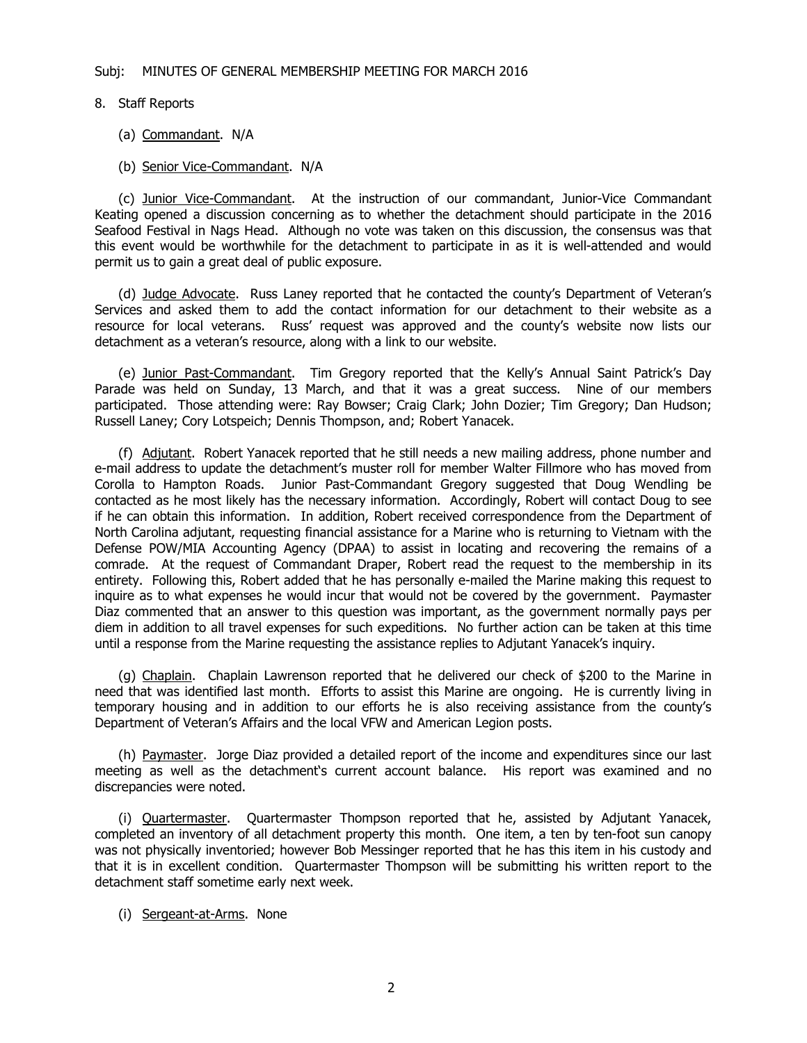- 8. Staff Reports
	- (a) Commandant. N/A
	- (b) Senior Vice-Commandant. N/A

(c) Junior Vice-Commandant. At the instruction of our commandant, Junior-Vice Commandant Keating opened a discussion concerning as to whether the detachment should participate in the 2016 Seafood Festival in Nags Head. Although no vote was taken on this discussion, the consensus was that this event would be worthwhile for the detachment to participate in as it is well-attended and would permit us to gain a great deal of public exposure.

(d) Judge Advocate. Russ Laney reported that he contacted the county's Department of Veteran's Services and asked them to add the contact information for our detachment to their website as a resource for local veterans. Russ' request was approved and the county's website now lists our detachment as a veteran's resource, along with a link to our website.

(e) Junior Past-Commandant. Tim Gregory reported that the Kelly's Annual Saint Patrick's Day Parade was held on Sunday, 13 March, and that it was a great success. Nine of our members participated. Those attending were: Ray Bowser; Craig Clark; John Dozier; Tim Gregory; Dan Hudson; Russell Laney; Cory Lotspeich; Dennis Thompson, and; Robert Yanacek.

(f) Adjutant. Robert Yanacek reported that he still needs a new mailing address, phone number and e-mail address to update the detachment's muster roll for member Walter Fillmore who has moved from Corolla to Hampton Roads. Junior Past-Commandant Gregory suggested that Doug Wendling be contacted as he most likely has the necessary information. Accordingly, Robert will contact Doug to see if he can obtain this information. In addition, Robert received correspondence from the Department of North Carolina adjutant, requesting financial assistance for a Marine who is returning to Vietnam with the Defense POW/MIA Accounting Agency (DPAA) to assist in locating and recovering the remains of a comrade. At the request of Commandant Draper, Robert read the request to the membership in its entirety. Following this, Robert added that he has personally e-mailed the Marine making this request to inquire as to what expenses he would incur that would not be covered by the government. Paymaster Diaz commented that an answer to this question was important, as the government normally pays per diem in addition to all travel expenses for such expeditions. No further action can be taken at this time until a response from the Marine requesting the assistance replies to Adjutant Yanacek's inquiry.

(g) Chaplain. Chaplain Lawrenson reported that he delivered our check of \$200 to the Marine in need that was identified last month. Efforts to assist this Marine are ongoing. He is currently living in temporary housing and in addition to our efforts he is also receiving assistance from the county's Department of Veteran's Affairs and the local VFW and American Legion posts.

(h) Paymaster. Jorge Diaz provided a detailed report of the income and expenditures since our last meeting as well as the detachment's current account balance. His report was examined and no discrepancies were noted.

(i) Quartermaster. Quartermaster Thompson reported that he, assisted by Adjutant Yanacek, completed an inventory of all detachment property this month. One item, a ten by ten-foot sun canopy was not physically inventoried; however Bob Messinger reported that he has this item in his custody and that it is in excellent condition. Quartermaster Thompson will be submitting his written report to the detachment staff sometime early next week.

(i) Sergeant-at-Arms. None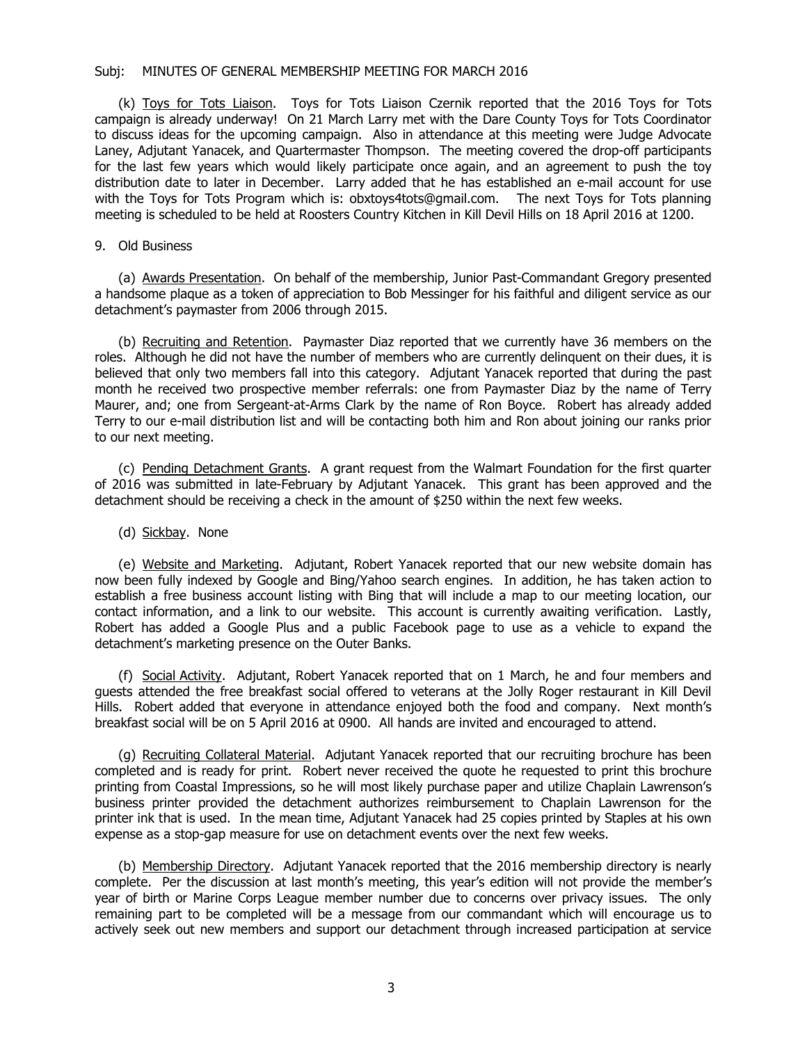### Subj: MINUTES OF GENERAL MEMBERSHIP MEETING FOR MARCH 2016

(k) Toys for Tots Liaison. Toys for Tots Liaison Czernik reported that the 2016 Toys for Tots campaign is already underway! On 21 March Larry met with the Dare County Toys for Tots Coordinator to discuss ideas for the upcoming campaign. Also in attendance at this meeting were Judge Advocate Laney, Adjutant Yanacek, and Quartermaster Thompson. The meeting covered the drop-off participants for the last few years which would likely participate once again, and an agreement to push the toy distribution date to later in December. Larry added that he has established an e-mail account for use with the Toys for Tots Program which is: obxtoys4tots@gmail.com. The next Toys for Tots planning meeting is scheduled to be held at Roosters Country Kitchen in Kill Devil Hills on 18 April 2016 at 1200.

## 9. Old Business

(a) Awards Presentation. On behalf of the membership, Junior Past-Commandant Gregory presented a handsome plaque as a token of appreciation to Bob Messinger for his faithful and diligent service as our detachment's paymaster from 2006 through 2015.

(b) Recruiting and Retention. Paymaster Diaz reported that we currently have 36 members on the roles. Although he did not have the number of members who are currently delinquent on their dues, it is believed that only two members fall into this category. Adjutant Yanacek reported that during the past month he received two prospective member referrals: one from Paymaster Diaz by the name of Terry Maurer, and; one from Sergeant-at-Arms Clark by the name of Ron Boyce. Robert has already added Terry to our e-mail distribution list and will be contacting both him and Ron about joining our ranks prior to our next meeting.

(c) Pending Detachment Grants. A grant request from the Walmart Foundation for the first quarter of 2016 was submitted in late-February by Adjutant Yanacek. This grant has been approved and the detachment should be receiving a check in the amount of \$250 within the next few weeks.

### (d) Sickbay. None

(e) Website and Marketing. Adjutant, Robert Yanacek reported that our new website domain has now been fully indexed by Google and Bing/Yahoo search engines. In addition, he has taken action to establish a free business account listing with Bing that will include a map to our meeting location, our contact information, and a link to our website. This account is currently awaiting verification. Lastly, Robert has added a Google Plus and a public Facebook page to use as a vehicle to expand the detachment's marketing presence on the Outer Banks.

(f) Social Activity. Adjutant, Robert Yanacek reported that on 1 March, he and four members and guests attended the free breakfast social offered to veterans at the Jolly Roger restaurant in Kill Devil Hills. Robert added that everyone in attendance enjoyed both the food and company. Next month's breakfast social will be on 5 April 2016 at 0900. All hands are invited and encouraged to attend.

(g) Recruiting Collateral Material. Adjutant Yanacek reported that our recruiting brochure has been completed and is ready for print. Robert never received the quote he requested to print this brochure printing from Coastal Impressions, so he will most likely purchase paper and utilize Chaplain Lawrenson's business printer provided the detachment authorizes reimbursement to Chaplain Lawrenson for the printer ink that is used. In the mean time, Adjutant Yanacek had 25 copies printed by Staples at his own expense as a stop-gap measure for use on detachment events over the next few weeks.

(b) Membership Directory. Adjutant Yanacek reported that the 2016 membership directory is nearly complete. Per the discussion at last month's meeting, this year's edition will not provide the member's year of birth or Marine Corps League member number due to concerns over privacy issues. The only remaining part to be completed will be a message from our commandant which will encourage us to actively seek out new members and support our detachment through increased participation at service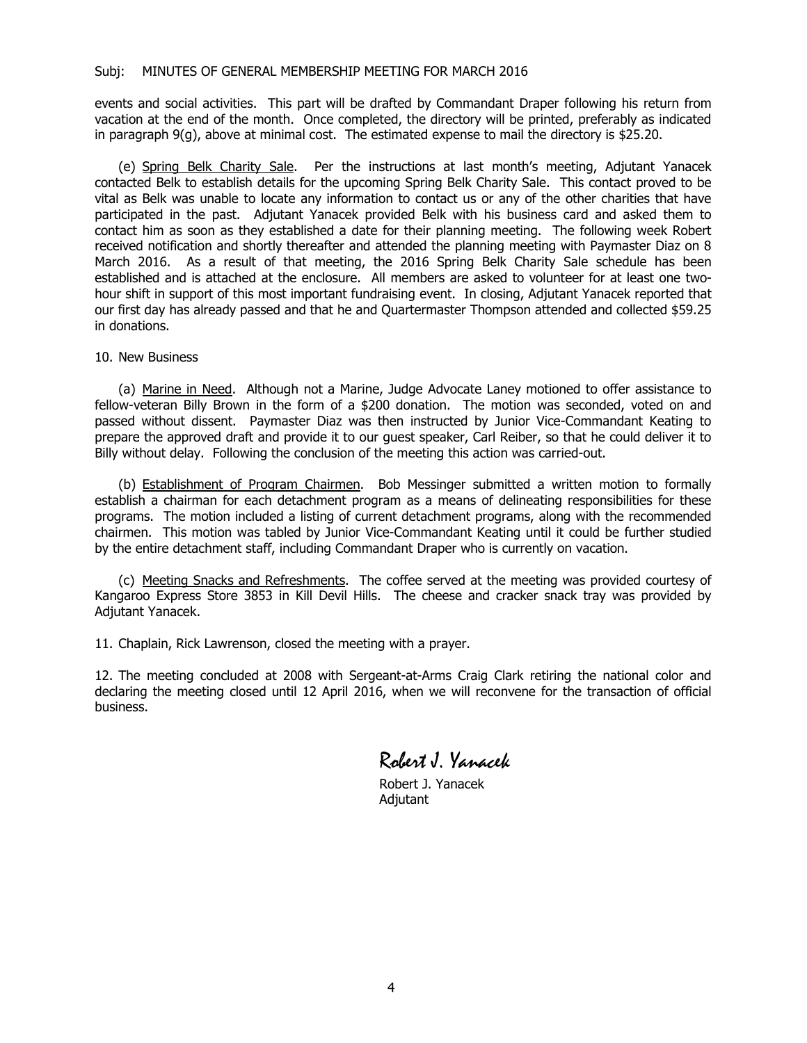events and social activities. This part will be drafted by Commandant Draper following his return from vacation at the end of the month. Once completed, the directory will be printed, preferably as indicated in paragraph 9(g), above at minimal cost. The estimated expense to mail the directory is \$25.20.

(e) Spring Belk Charity Sale. Per the instructions at last month's meeting, Adjutant Yanacek contacted Belk to establish details for the upcoming Spring Belk Charity Sale. This contact proved to be vital as Belk was unable to locate any information to contact us or any of the other charities that have participated in the past. Adjutant Yanacek provided Belk with his business card and asked them to contact him as soon as they established a date for their planning meeting. The following week Robert received notification and shortly thereafter and attended the planning meeting with Paymaster Diaz on 8 March 2016. As a result of that meeting, the 2016 Spring Belk Charity Sale schedule has been established and is attached at the enclosure. All members are asked to volunteer for at least one twohour shift in support of this most important fundraising event. In closing, Adjutant Yanacek reported that our first day has already passed and that he and Quartermaster Thompson attended and collected \$59.25 in donations.

10. New Business

(a) Marine in Need. Although not a Marine, Judge Advocate Laney motioned to offer assistance to fellow-veteran Billy Brown in the form of a \$200 donation. The motion was seconded, voted on and passed without dissent. Paymaster Diaz was then instructed by Junior Vice-Commandant Keating to prepare the approved draft and provide it to our guest speaker, Carl Reiber, so that he could deliver it to Billy without delay. Following the conclusion of the meeting this action was carried-out.

(b) Establishment of Program Chairmen. Bob Messinger submitted a written motion to formally establish a chairman for each detachment program as a means of delineating responsibilities for these programs. The motion included a listing of current detachment programs, along with the recommended chairmen. This motion was tabled by Junior Vice-Commandant Keating until it could be further studied by the entire detachment staff, including Commandant Draper who is currently on vacation.

(c) Meeting Snacks and Refreshments. The coffee served at the meeting was provided courtesy of Kangaroo Express Store 3853 in Kill Devil Hills. The cheese and cracker snack tray was provided by Adjutant Yanacek.

11. Chaplain, Rick Lawrenson, closed the meeting with a prayer.

12. The meeting concluded at 2008 with Sergeant-at-Arms Craig Clark retiring the national color and declaring the meeting closed until 12 April 2016, when we will reconvene for the transaction of official business.

Robert J. Yanacek

Robert J. Yanacek Adjutant